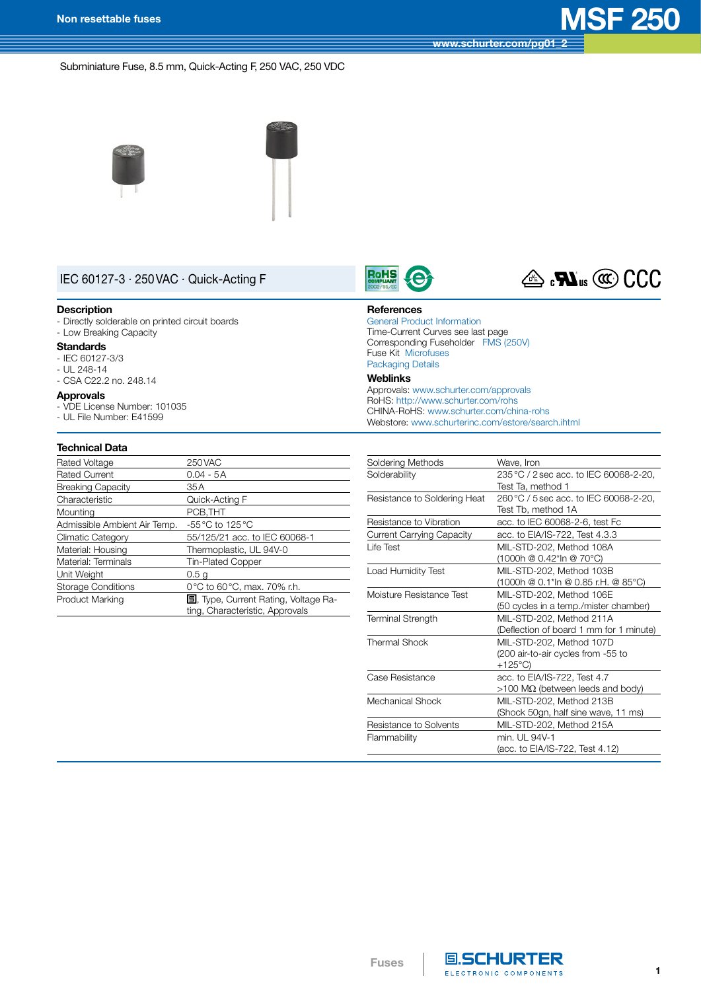**[www.schurter.com/pg01\\_2](http://www.schurter.com/pg01_2)**

## Subminiature Fuse, 8.5 mm, Quick-Acting F, 250 VAC, 250 VDC





# IEC 60127-3 · 250VAC · Quick-Acting F

#### **Description**

- Directly solderable on printed circuit boards - Low Breaking Capacity

#### **Standards**

- - IEC 60127-3/3  $-$  UL 248-14
- CSA C22.2 no. 248.14

#### **Approvals**

- VDE License Number: 101035 - UL File Number: E41599
- 

## **Technical Data**

| Rated Voltage                | 250 VAC                                                                         |
|------------------------------|---------------------------------------------------------------------------------|
| <b>Rated Current</b>         | $0.04 - 5A$                                                                     |
| <b>Breaking Capacity</b>     | 35 A                                                                            |
| Characteristic               | Quick-Acting F                                                                  |
| Mounting                     | PCB, THT                                                                        |
| Admissible Ambient Air Temp. | $-55^{\circ}$ C to 125 $^{\circ}$ C                                             |
| Climatic Category            | 55/125/21 acc. to IEC 60068-1                                                   |
| Material: Housing            | Thermoplastic, UL 94V-0                                                         |
| Material: Terminals          | <b>Tin-Plated Copper</b>                                                        |
| Unit Weight                  | 0.5 a                                                                           |
| <b>Storage Conditions</b>    | 0 °C to 60 °C, max. 70% r.h.                                                    |
| <b>Product Marking</b>       | <b>国</b> , Type, Current Rating, Voltage Ra-<br>ting, Characteristic, Approvals |





### **References**

General Product [Information](http://www.schurter.ch/pdf/english/GS_general_product_information.pdf) Time-Current Curves see last page Corresponding Fuseholder FMS [\(250V\)](http://www.schurter.ch/pdf/english/typ_FMS__250V_.pdf) Fuse Kit Microfuses [Packaging](http://www.schurter.ch/pdf/english/GS_packaging_details.pdf) Details

### **Weblinks**

Approvals: [www.schurter.com/approvals](http://www.schurter.com/approvals) RoHS: <http://www.schurter.com/rohs> CHINA-RoHS: [www.schurter.com/china-rohs](http://www.schurter.com/china-rohs) Webstore: [www.schurterinc.com/estore/search.ihtml](http://www.schurterinc.com/estore/search.ihtml)

| Soldering Methods                | Wave, Iron                              |
|----------------------------------|-----------------------------------------|
| Solderability                    | 235 °C / 2 sec acc. to IEC 60068-2-20,  |
|                                  | Test Ta, method 1                       |
| Resistance to Soldering Heat     | 260 °C / 5 sec acc. to IEC 60068-2-20,  |
|                                  | Test Tb, method 1A                      |
| Resistance to Vibration          | acc. to IEC 60068-2-6, test Fc          |
| <b>Current Carrying Capacity</b> | acc. to EIA/IS-722, Test 4.3.3          |
| Life Test                        | MIL-STD-202, Method 108A                |
|                                  | (1000h @ 0.42*ln @ 70°C)                |
| Load Humidity Test               | MIL-STD-202, Method 103B                |
|                                  | (1000h @ 0.1*ln @ 0.85 r.H. @ 85°C)     |
| Moisture Resistance Test         | MIL-STD-202, Method 106E                |
|                                  | (50 cycles in a temp./mister chamber)   |
| <b>Terminal Strength</b>         | MIL-STD-202, Method 211A                |
|                                  | (Deflection of board 1 mm for 1 minute) |
| <b>Thermal Shock</b>             | MIL-STD-202, Method 107D                |
|                                  | (200 air-to-air cycles from -55 to      |
|                                  | $+125^{\circ}$ C)                       |
| Case Resistance                  | acc. to EIA/IS-722, Test 4.7            |
|                                  | $>100$ MΩ (between leeds and body)      |
| Mechanical Shock                 | MIL-STD-202, Method 213B                |
|                                  | (Shock 50gn, half sine wave, 11 ms)     |
| Resistance to Solvents           | MIL-STD-202, Method 215A                |
| Flammability                     | min. UI 94V-1                           |
|                                  | (acc. to EIA/IS-722, Test 4.12)         |



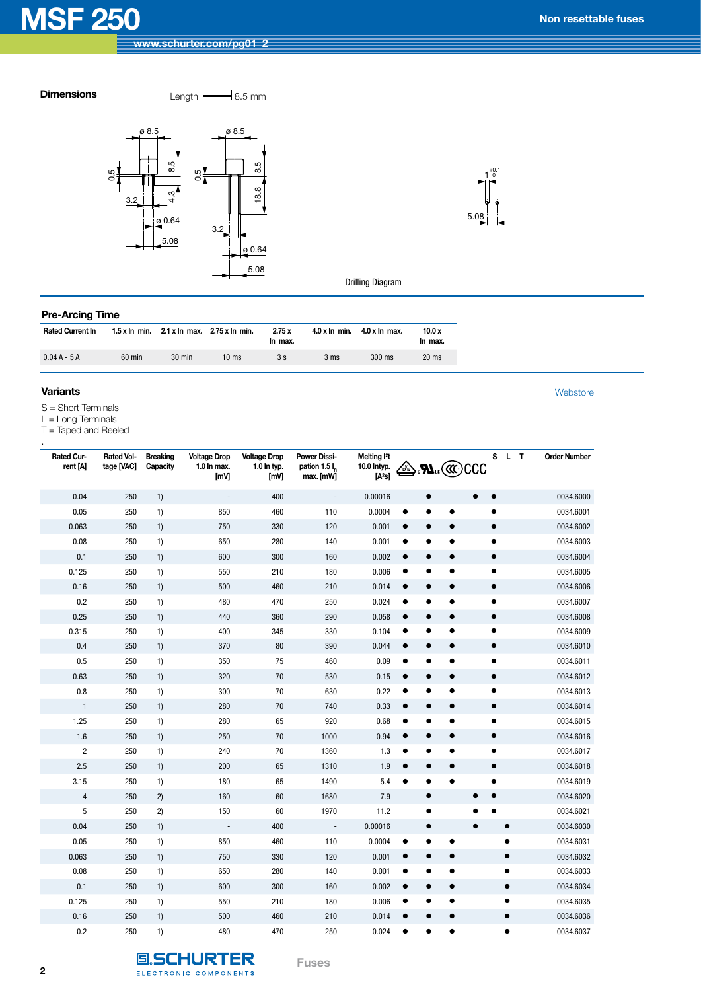**Dimensions** Length  $\leftarrow$  8.5 mm





Drilling Diagram

## **Pre-Arcing Time**

| <b>Rated Current In</b> |          | 1.5 x ln min. $2.1 \times$ ln max. $2.75 \times$ ln min. |       | 2.75x<br>In max. | $4.0 \times \ln$ min. | $4.0 x \ln \text{max}$ . | 10.0x<br>In max. |
|-------------------------|----------|----------------------------------------------------------|-------|------------------|-----------------------|--------------------------|------------------|
| $0.04A - 5A$            | $60$ min | 30 min                                                   | 10 ms | 3 s              | 3 ms                  | $300$ ms                 | 20 <sub>ms</sub> |

#### **Variants** [Webstore](http://www.schurterinc.com/estore/search.ihtml)

.

S = Short Terminals

L = Long Terminals

T = Taped and Reeled

| Rated Cur-<br>rent [A]  | <b>Rated Vol-</b><br>tage [VAC] | <b>Breaking</b><br>Capacity | <b>Voltage Drop</b><br>1.0 In max.<br>[mV] | <b>Voltage Drop</b><br>1.0 In typ.<br>[mV] | <b>Power Dissi-</b><br>pation 1.5 l.<br>max. [mW] | Melting <sup>2</sup> t<br>10.0 Intyp.<br>[A <sup>2</sup> s] | OE                     | CCC<br>$\mathbf{M}$ us (CCC·) | S L       | $\mathbf{T}$ | <b>Order Number</b> |
|-------------------------|---------------------------------|-----------------------------|--------------------------------------------|--------------------------------------------|---------------------------------------------------|-------------------------------------------------------------|------------------------|-------------------------------|-----------|--------------|---------------------|
| 0.04                    | 250                             | 1)                          | $\overline{\phantom{a}}$                   | 400                                        | $\overline{\phantom{a}}$                          | 0.00016                                                     | $\bullet$              |                               | $\bullet$ |              | 0034.6000           |
| 0.05                    | 250                             | 1)                          | 850                                        | 460                                        | 110                                               | 0.0004                                                      | $\bullet$<br>$\bullet$ | $\bullet$                     | $\bullet$ |              | 0034.6001           |
| 0.063                   | 250                             | 1)                          | 750                                        | 330                                        | 120                                               | 0.001                                                       | $\bullet$<br>$\bullet$ | $\bullet$                     | $\bullet$ |              | 0034.6002           |
| 0.08                    | 250                             | 1)                          | 650                                        | 280                                        | 140                                               | 0.001                                                       | 0                      |                               | $\bullet$ |              | 0034.6003           |
| 0.1                     | 250                             | 1)                          | 600                                        | 300                                        | 160                                               | 0.002                                                       | $\bullet$              | $\bullet$                     | $\bullet$ |              | 0034.6004           |
| 0.125                   | 250                             | 1)                          | 550                                        | 210                                        | 180                                               | 0.006                                                       | $\bullet$<br>٠         | $\bullet$                     | $\bullet$ |              | 0034.6005           |
| 0.16                    | 250                             | 1)                          | 500                                        | 460                                        | 210                                               | 0.014                                                       | $\bullet$<br>$\bullet$ | $\bullet$                     | $\bullet$ |              | 0034.6006           |
| 0.2                     | 250                             | 1)                          | 480                                        | 470                                        | 250                                               | 0.024                                                       | $\bullet$<br>$\bullet$ | $\bullet$                     | $\bullet$ |              | 0034.6007           |
| 0.25                    | 250                             | 1)                          | 440                                        | 360                                        | 290                                               | 0.058                                                       | $\bullet$<br>$\bullet$ | $\bullet$                     | $\bullet$ |              | 0034.6008           |
| 0.315                   | 250                             | 1)                          | 400                                        | 345                                        | 330                                               | 0.104                                                       | $\bullet$<br>$\bullet$ |                               | $\bullet$ |              | 0034.6009           |
| 0.4                     | 250                             | 1)                          | 370                                        | 80                                         | 390                                               | 0.044                                                       | $\bullet$              | $\bullet$                     | $\bullet$ |              | 0034.6010           |
| 0.5                     | 250                             | 1)                          | 350                                        | 75                                         | 460                                               | 0.09                                                        | $\bullet$<br>٠         | $\bullet$                     | $\bullet$ |              | 0034.6011           |
| 0.63                    | 250                             | 1)                          | 320                                        | 70                                         | 530                                               | 0.15                                                        | $\bullet$<br>$\bullet$ | $\bullet$                     | $\bullet$ |              | 0034.6012           |
| 0.8                     | 250                             | 1)                          | 300                                        | 70                                         | 630                                               | 0.22                                                        | $\bullet$<br>0         | $\bullet$                     | $\bullet$ |              | 0034.6013           |
| $\mathbf{1}$            | 250                             | 1)                          | 280                                        | 70                                         | 740                                               | 0.33                                                        | $\bullet$<br>$\bullet$ | $\bullet$                     | $\bullet$ |              | 0034.6014           |
| 1.25                    | 250                             | 1)                          | 280                                        | 65                                         | 920                                               | 0.68                                                        | $\bullet$<br>٠         |                               | $\bullet$ |              | 0034.6015           |
| $1.6\,$                 | 250                             | 1)                          | 250                                        | 70                                         | 1000                                              | 0.94                                                        | $\bullet$<br>$\bullet$ | $\bullet$                     | $\bullet$ |              | 0034.6016           |
| $\overline{\mathbf{c}}$ | 250                             | 1)                          | 240                                        | 70                                         | 1360                                              | 1.3                                                         | $\bullet$<br>٠         | $\bullet$                     | $\bullet$ |              | 0034.6017           |
| 2.5                     | 250                             | 1)                          | 200                                        | 65                                         | 1310                                              | 1.9                                                         | $\bullet$<br>$\bullet$ | $\bullet$                     | $\bullet$ |              | 0034.6018           |
| 3.15                    | 250                             | 1)                          | 180                                        | 65                                         | 1490                                              | 5.4                                                         | $\bullet$              | $\bullet$                     | $\bullet$ |              | 0034.6019           |
| $\sqrt{4}$              | 250                             | 2)                          | 160                                        | 60                                         | 1680                                              | 7.9                                                         | $\bullet$              |                               |           |              | 0034.6020           |
| 5                       | 250                             | 2)                          | 150                                        | 60                                         | 1970                                              | 11.2                                                        | $\bullet$              |                               |           |              | 0034.6021           |
| 0.04                    | 250                             | 1)                          | $\Box$                                     | 400                                        | $\Box$                                            | 0.00016                                                     | $\bullet$              | $\bullet$                     |           | $\bullet$    | 0034.6030           |
| 0.05                    | 250                             | 1)                          | 850                                        | 460                                        | 110                                               | 0.0004                                                      | $\bullet$<br>٠         | $\bullet$                     |           | $\bullet$    | 0034.6031           |
| 0.063                   | 250                             | 1)                          | 750                                        | 330                                        | 120                                               | 0.001                                                       | $\bullet$<br>$\bullet$ | $\bullet$                     |           | $\bullet$    | 0034.6032           |
| 0.08                    | 250                             | 1)                          | 650                                        | 280                                        | 140                                               | 0.001                                                       | $\bullet$<br>$\bullet$ |                               |           | $\bullet$    | 0034.6033           |
| 0.1                     | 250                             | 1)                          | 600                                        | 300                                        | 160                                               | 0.002                                                       | $\bullet$              | $\bullet$                     |           | $\bullet$    | 0034.6034           |
| 0.125                   | 250                             | 1)                          | 550                                        | 210                                        | 180                                               | 0.006                                                       | $\bullet$<br>٠         | $\bullet$                     |           | $\bullet$    | 0034.6035           |
| 0.16                    | 250                             | 1)                          | 500                                        | 460                                        | 210                                               | 0.014                                                       | $\bullet$<br>$\bullet$ | $\bullet$                     |           | $\bullet$    | 0034.6036           |
| 0.2                     | 250                             | 1)                          | 480                                        | 470                                        | 250                                               | 0.024                                                       |                        |                               |           | $\bullet$    | 0034.6037           |

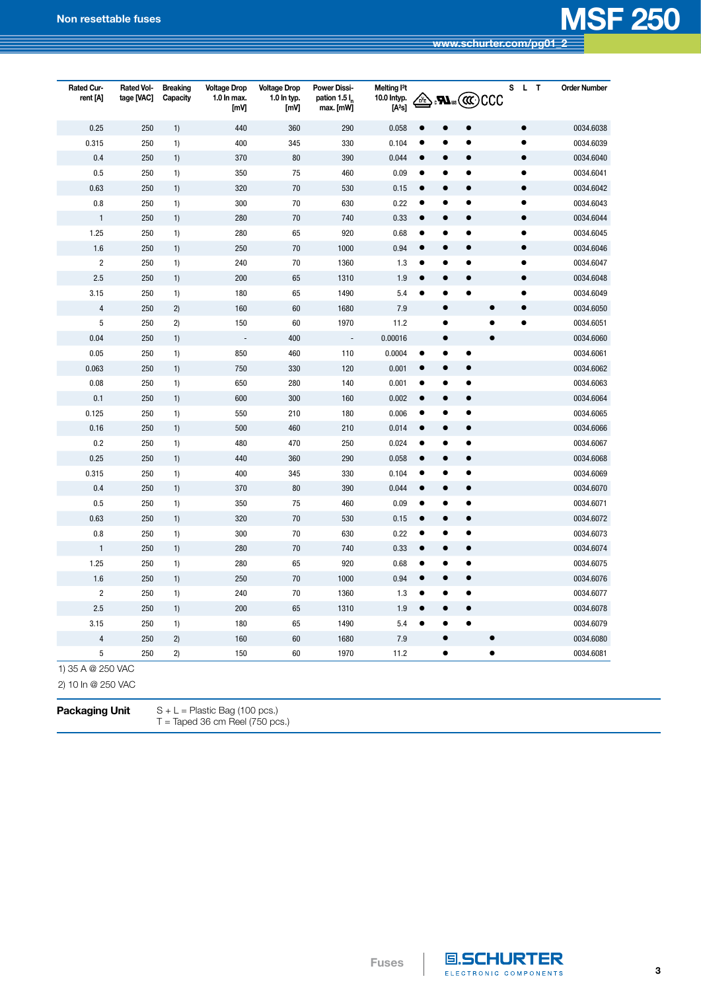| <b>Rated Cur-</b><br>rent [A]                                    | Rated Vol-<br>tage [VAC] | <b>Breaking</b><br>Capacity | <b>Voltage Drop</b><br>1.0 ln max.<br>[mV] | <b>Voltage Drop</b><br>1.0 In typ.<br>[mV] | <b>Power Dissi-</b><br>pation 1.5 l <sub>n</sub><br>max. [mW] | Melting <sup>2</sup> t<br>10.0 Intyp.<br>[A <sup>2</sup> s] | OE        |           | $\cdot$ s $C$ C $C$ C $\cdot$ | s         | L T | <b>Order Number</b> |
|------------------------------------------------------------------|--------------------------|-----------------------------|--------------------------------------------|--------------------------------------------|---------------------------------------------------------------|-------------------------------------------------------------|-----------|-----------|-------------------------------|-----------|-----|---------------------|
| 0.25                                                             | 250                      | 1)                          | 440                                        | 360                                        | 290                                                           | 0.058                                                       |           |           |                               | $\bullet$ |     | 0034.6038           |
| 0.315                                                            | 250                      | 1)                          | 400                                        | 345                                        | 330                                                           | 0.104                                                       | c         |           | $\bullet$                     | $\bullet$ |     | 0034.6039           |
| 0.4                                                              | 250                      | 1)                          | 370                                        | 80                                         | 390                                                           | 0.044                                                       | $\bullet$ | $\bullet$ | $\bullet$                     | $\bullet$ |     | 0034.6040           |
| 0.5                                                              | 250                      | 1)                          | 350                                        | 75                                         | 460                                                           | 0.09                                                        | $\bullet$ | $\bullet$ | $\bullet$                     | $\bullet$ |     | 0034.6041           |
| 0.63                                                             | 250                      | 1)                          | 320                                        | 70                                         | 530                                                           | 0.15                                                        | $\bullet$ | $\bullet$ | $\bullet$                     | $\bullet$ |     | 0034.6042           |
| $0.8\,$                                                          | 250                      | 1)                          | 300                                        | 70                                         | 630                                                           | 0.22                                                        | $\bullet$ | $\bullet$ | $\bullet$                     | ٠         |     | 0034.6043           |
| $\mathbf{1}$                                                     | 250                      | 1)                          | 280                                        | 70                                         | 740                                                           | 0.33                                                        | $\bullet$ | $\bullet$ | $\bullet$                     | $\bullet$ |     | 0034.6044           |
| 1.25                                                             | 250                      | 1)                          | 280                                        | 65                                         | 920                                                           | 0.68                                                        | $\bullet$ | $\bullet$ | $\bullet$                     | $\bullet$ |     | 0034.6045           |
| 1.6                                                              | 250                      | 1)                          | 250                                        | 70                                         | 1000                                                          | 0.94                                                        | $\bullet$ |           | $\bullet$                     | $\bullet$ |     | 0034.6046           |
| $\overline{\mathbf{c}}$                                          | 250                      | 1)                          | 240                                        | 70                                         | 1360                                                          | 1.3                                                         |           |           | $\bullet$                     | $\bullet$ |     | 0034.6047           |
| 2.5                                                              | 250                      | 1)                          | 200                                        | 65                                         | 1310                                                          | 1.9                                                         | $\bullet$ |           | $\bullet$                     | $\bullet$ |     | 0034.6048           |
| 3.15                                                             | 250                      | 1)                          | 180                                        | 65                                         | 1490                                                          | 5.4                                                         | $\bullet$ | $\bullet$ | $\bullet$                     | $\bullet$ |     | 0034.6049           |
| $\overline{\mathbf{4}}$                                          | 250                      | 2)                          | 160                                        | 60                                         | 1680                                                          | $7.9$                                                       |           | $\bullet$ | $\bullet$                     | $\bullet$ |     | 0034.6050           |
| 5                                                                | 250                      | 2)                          | 150                                        | 60                                         | 1970                                                          | 11.2                                                        |           | $\bullet$ | $\bullet$                     | $\bullet$ |     | 0034.6051           |
| $0.04\,$                                                         | 250                      | 1)                          | $\overline{\phantom{a}}$                   | 400                                        | $\overline{\phantom{a}}$                                      | 0.00016                                                     |           | $\bullet$ | $\bullet$                     |           |     | 0034.6060           |
| 0.05                                                             | 250                      | 1)                          | 850                                        | 460                                        | 110                                                           | 0.0004                                                      |           |           | $\bullet$                     |           |     | 0034.6061           |
| 0.063                                                            | 250                      | 1)                          | 750                                        | 330                                        | 120                                                           | 0.001                                                       | 0         |           |                               |           |     | 0034.6062           |
| 0.08                                                             | 250                      | 1)                          | 650                                        | 280                                        | 140                                                           | 0.001                                                       |           |           | ٠                             |           |     | 0034.6063           |
| 0.1                                                              | 250                      | 1)                          | 600                                        | 300                                        | 160                                                           | 0.002                                                       | $\bullet$ |           | $\bullet$                     |           |     | 0034.6064           |
| 0.125                                                            | 250                      | 1)                          | 550                                        | 210                                        | 180                                                           | 0.006                                                       | $\bullet$ | $\bullet$ | $\bullet$                     |           |     | 0034.6065           |
| 0.16                                                             | 250                      | 1)                          | 500                                        | 460                                        | 210                                                           | 0.014                                                       | $\bullet$ | $\bullet$ | $\bullet$                     |           |     | 0034.6066           |
| 0.2                                                              | 250                      | 1)                          | 480                                        | 470                                        | 250                                                           | 0.024                                                       | $\bullet$ | $\bullet$ | $\bullet$                     |           |     | 0034.6067           |
| 0.25                                                             | 250                      | 1)                          | 440                                        | 360                                        | 290                                                           | 0.058                                                       | $\bullet$ | $\bullet$ | $\bullet$                     |           |     | 0034.6068           |
| 0.315                                                            | 250                      | 1)                          | 400                                        | 345                                        | 330                                                           | 0.104                                                       |           | $\bullet$ | $\bullet$                     |           |     | 0034.6069           |
| 0.4                                                              | 250                      | 1)                          | 370                                        | 80                                         | 390                                                           | 0.044                                                       |           |           | $\bullet$                     |           |     | 0034.6070           |
| 0.5                                                              | 250                      | 1)                          | 350                                        | 75                                         | 460                                                           | 0.09                                                        |           |           | ٠                             |           |     | 0034.6071           |
| 0.63                                                             | 250                      | 1)                          | 320                                        | 70                                         | 530                                                           | 0.15                                                        | $\bullet$ | $\bullet$ | $\bullet$                     |           |     | 0034.6072           |
| 0.8                                                              | 250                      | 1)                          | 300                                        | 70                                         | 630                                                           | 0.22                                                        | $\bullet$ | $\bullet$ | $\bullet$                     |           |     | 0034.6073           |
| 1                                                                | 250                      | 1)                          | 280                                        | 70                                         | 740                                                           | 0.33                                                        | $\bullet$ | $\bullet$ | $\bullet$                     |           |     | 0034.6074           |
| 1.25                                                             | 250                      | 1)                          | 280                                        | 65                                         | 920                                                           | 0.68                                                        |           | e         | $\bullet$                     |           |     | 0034.6075           |
| 1.6                                                              | 250                      | 1)                          | 250                                        | 70                                         | 1000                                                          | 0.94                                                        |           |           |                               |           |     | 0034.6076           |
| $\overline{\mathbf{c}}$                                          | 250                      | 1)                          | 240                                        | 70                                         | 1360                                                          | 1.3                                                         | $\bullet$ |           | $\bullet$                     |           |     | 0034.6077           |
| 2.5                                                              | 250                      | 1)                          | 200                                        | 65                                         | 1310                                                          | 1.9                                                         |           |           |                               |           |     | 0034.6078           |
| 3.15                                                             | 250                      | 1)                          | 180                                        | 65                                         | 1490                                                          | 5.4                                                         |           |           |                               |           |     | 0034.6079           |
| 4                                                                | 250                      | 2)                          | 160                                        | 60                                         | 1680                                                          | 7.9                                                         |           |           | $\bullet$                     |           |     | 0034.6080           |
| 5                                                                | 250                      | 2)                          | 150                                        | 60                                         | 1970                                                          | 11.2                                                        |           | $\bullet$ | $\bullet$                     |           |     | 0034.6081           |
| 1) 35 A @ 250 VAC<br>2) 10 In @ 250 VAC<br><b>Packaging Unit</b> |                          |                             | $S + L =$ Plastic Bag (100 pcs.)           |                                            |                                                               |                                                             |           |           |                               |           |     |                     |

 $T =$  Taped 36 cm Reel (750 pcs.)



**Fuses**